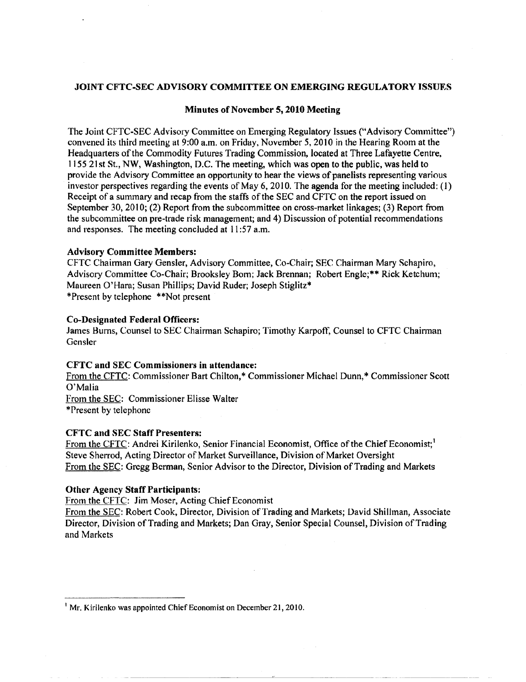## JOINT CFTC-SEC ADVISORY COMMITTEE ON EMERGING REGULATORY ISSIJES

## Minutes of November 5, 2010 Meeting

The Joint CFTC-SEC Advisory Committee on Emerging Regulatory Issues ("Advisory Committee") convened its third meeting at 9:00 a.m. on Friday, November 5,20] 0 in the Hearing Room at the Headquarters of the Commodity Futures Trading Commission, located at Three Lafayette Centre, 115521 st St., NW, Washington, D.C. The meeting, which was open to the public, was held to provide the Advisory Committee an opportunity to hear the views of panelists representing various investor perspectives regarding the events of May 6, 2010. The agenda for the meeting included:  $(1)$ Receipt of a summary and recap from the staffs of the SEC and CFTC on the report issued on September 30, 2010; (2) Report from the subcommittee on cross-market linkages; (3) Report from the subcommittee on pre-trade risk management; and 4) Discussion of potential recommendations and responses. The meeting concluded at II :57 a.m.

#### Advisory Committee Members:

CFTC Chairman Gary Gensler, Advisory Committee, Co-Chair; SEC Chairman Mary Schapiro, Advisory Committee Co-Chair; Brooksley Bom; Jack Brennan; Robert Engle;\*\* Rick Ketchum; Maureen O'Hara; Susan Phillips; David Ruder; Joseph Stiglitz\* \*Present by telephone \*\*Not present

## Co-Designated Federal Officers:

James Hums, Counsel to SEC Chairman Schapiro; Timothy Karpoff, Counsel to CFTC Chairman Gensler

## CFTC and SEC Commissioners in attendance:

From the CFTC: Commissioner Bart Chilton,\* Commissioner Michael Dunn,\* Commissioner Scott O'Malia From the SEC: Commissioner Elisse Walter "'Present by telephone

### CFTC and SEC Staff Presenters:

From the CFTC: Andrei Kirilenko, Senior Financial Economist, Office of the Chief Economist;<sup>1</sup> Steve Sherrod, Acting Director of Market Surveillance, Division of Market Oversight From the SEC: Gregg Berman, Senior Advisor to the Director, Division of Trading and Markets

### Other Agency Staff Participants:

From the CFTC: Jim Moser, Acting Chief Economist

From the SEC: Robert Cook, Director, Division of Trading and Markets; David Shillman, Associate Director, Division of Trading and Markets; Dan Gray, Senior Special Counsel, Division of Trading and Markets

<sup>&</sup>lt;sup>1</sup> Mr. Kirilenko was appointed Chief Economist on December 21, 2010.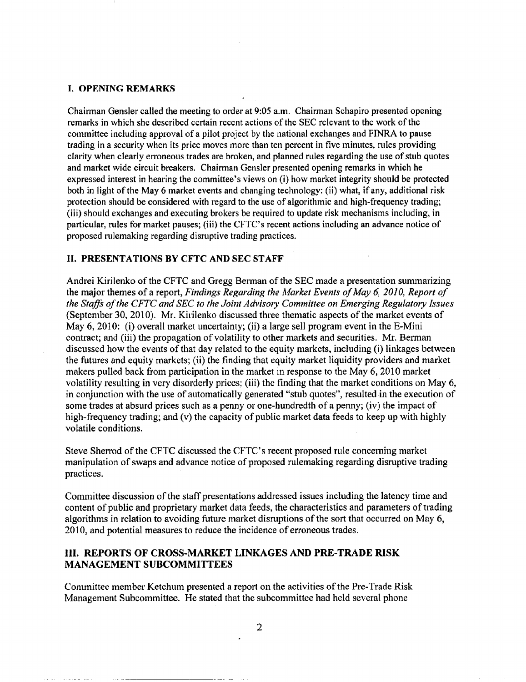# T. OPENING REMARKS

Chairman Gensler called the meeting to order at 9:05 a.m. Chairman Schapiro presented opening remarks in which shc described certain recent actions of the SEC relevant to the work of the committee including approval of a pilot project by the national exchanges and FINRA to pause trading in a security when its price moves more than ten percent in five minutes, rules providing clarity when clearly erroneous trades are broken, and planned rules regarding the use of stub quotes and market wide circuit breakers. Chairman Gensler presented opening remarks in which he expressed interest in hearing the committee's views on (i) how market integrity should be protected both in light of the May 6 market events and changing technology: (ii) what, if any, additional risk protection should be considered with regard to the use of algorithmic and high-frequency trading; (iii) should exchanges and executing brokers be required to update risk mechanisms including, in particular, rules for market pauses; (iii) the CFTC's recent actions including an advance notice of proposed rulemaking regarding disruptive trading practices.

# II. PRESENTATIONS BY CFTC AND SEC STAFF

Andrei Kirilenko of the CFTC and Gregg Berman of the SEC made a presentation summarizing the major themes of a report, *Findings Regarding the Market Events of May 6, 2010, Report of* the Staffs of the CFTC and SEC to the Joint Advisory Committee on Emerging Regulatory Issues (September 30, 2010). Mr. Kirilenko discussed three thematic aspects of the market events of May  $6, 2010$ : (i) overall market uncertainty; (ii) a large sell program event in the E-Mini contract; and (iii) the propagation of volatility to other markets and securities. Mr. Berman discussed how the events ofthat day related to the equity markets, including (i) linkages between the futures and equity markets; (ii) the finding that equity market liquidity providers and market makers pulled back from participation in the market in response to the May 6, 2010 market volatility resulting in very disorderly prices; (iii) the finding that the market conditions on May 6, in conjunction with the use of automatically generated "stub quotes", resulted in the execution of some trades at absurd prices such as a penny or one-hundredth of a penny; (iv) the impact of high-frequency trading; and (v) the capacity of public market data feeds to keep up with highly volatile conditions.

Steve Sherrod of the CFTC discussed the CFTC's recent proposed rule conceming market manipulation of swaps and advance notice of proposed rulemaking regarding disruptive trading practices.

Committee discussion of the staff presentations addressed issues including the latency time and content of public and proprietary market data feeds, the characteristics and parameters of trading algorithms in relation to avoiding future market disruptions of the sort that occurred on May 6, 2010, and potential measures to reduce the incidence of erroneous trades.

# Ill. REPORTS OF CROSS-MARKET LINKAGES AND PRE-TRADE RISK MANAGEMENT SUBCOMMITTEES

Committee member Ketchum presented a report on the activities of the Pre-Trade Risk Management Subcommittee. He stated that the subcommittee had held several phone

------ - --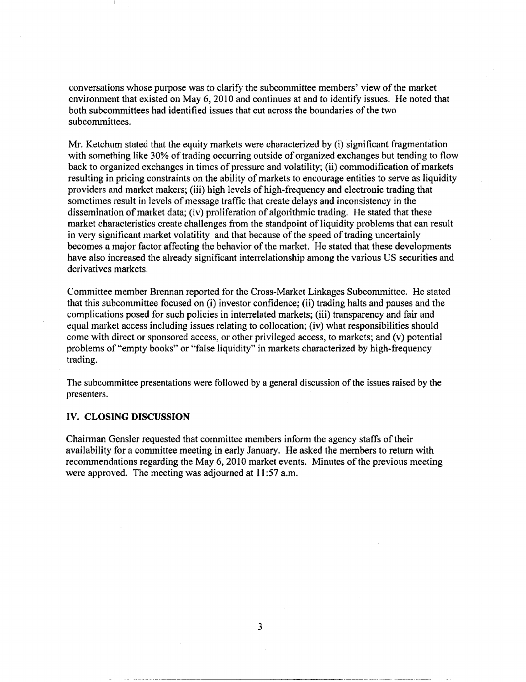conversations whose purpose was to clarify the subcommittee members' view ofthe market environment that existed on May 6, 2010 and continues at and to identify issues. He noted that both subcommittees had identified issues that cut across the boundaries of the two subcommittees.

Mr. Ketchum stated that the equity markets were characterized by  $(i)$  significant fragmentation with something like 30% of trading occurring outside of organized exchanges but tending to flow back to organized exchanges in times of pressure and volatility; (ii) commodification of markets resulting in pricing constraints on the ability of markets to encourage entities to serve as liquidity providers and market makers; (iii) high levels of high-frequency and electronic trading that sometimes result in levels of message traffic that create delays and inconsistency in the dissemination of market data; (iv) proliferation of algorithmic trading. He stated that these market characteristics create challenges from the standpoint of liquidity problems that can result in very significant market volatility and that because of the speed of trading uncertainly becomes a major factor affecting the behavior of the market. He stated that these developments have also increased the already significant interrelationship among the various US securities and derivatives markets.

Committee member Brennan reported for the Cross-Market Linkages Subcommittee. He stated that this subcommittee focused on (i) investor confidence; (ii) trading halts and pauses and the complications posed for such policies in intenelated markets; (iii) transparency and fair and equal market access including issues relating to collocation; (iv) what responsibilities should come with direct or sponsored access, or other privileged access, to markets; and (v) potential problems of "empty books" or "false liquidity" in markets characterized by high-frequency trading.

The subcommittee presentations were followed by a general discussion of the issues raised by the presenters.

## IV. **CLOSING DISCUSSION**

Chainnan Gensler requested that committee members inform the agency staffs of their availability for a committee meeting in early January. He asked the members to return with recommendations regarding the May 6, 2010 market events. Minutes of the previous meeting were approved. The meeting was adjourned at 11:57 a.m.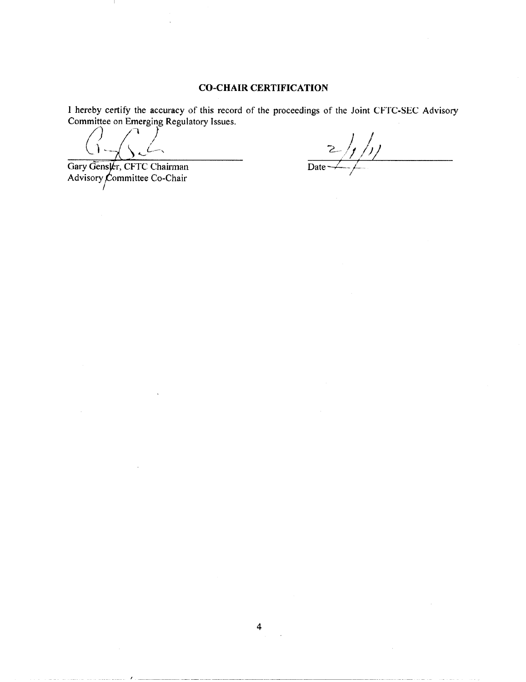# **CO-CHAIR CERTIFICATION**

I hereby certify the accuracy of this record of the proceedings of the Joint CFTC-SEC Advisory Committee on Emerging Regulatory Issues.

Gary Gensler, CFTC Chairman Advisory Committee Co-Chair I

 $\frac{1}{2}$ /1]  $\frac{1}{\text{Date}}$